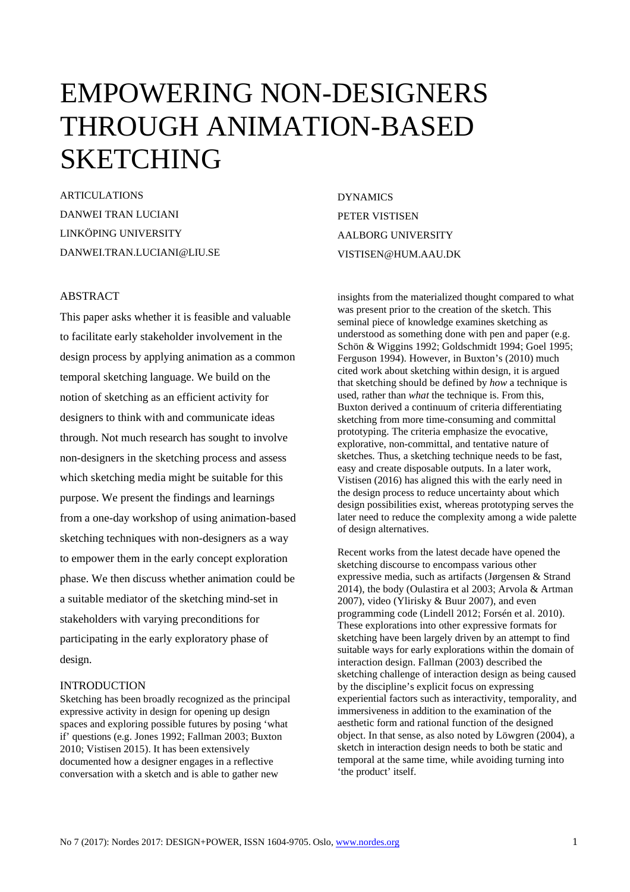# EMPOWERING NON-DESIGNERS THROUGH ANIMATION-BASED SKETCHING

ARTICULATIONS DANWEI TRAN LUCIANI LINKÖPING UNIVERSITY DANWEI.TRAN.LUCIANI@LIU.SE

## ABSTRACT

This paper asks whether it is feasible and valuable to facilitate early stakeholder involvement in the design process by applying animation as a common temporal sketching language. We build on the notion of sketching as an efficient activity for designers to think with and communicate ideas through. Not much research has sought to involve non-designers in the sketching process and assess which sketching media might be suitable for this purpose. We present the findings and learnings from a one-day workshop of using animation-based sketching techniques with non-designers as a way to empower them in the early concept exploration phase. We then discuss whether animation could be a suitable mediator of the sketching mind-set in stakeholders with varying preconditions for participating in the early exploratory phase of design.

#### INTRODUCTION

Sketching has been broadly recognized as the principal expressive activity in design for opening up design spaces and exploring possible futures by posing 'what if' questions (e.g. Jones 1992; Fallman 2003; Buxton 2010; Vistisen 2015). It has been extensively documented how a designer engages in a reflective conversation with a sketch and is able to gather new

DYNAMICS PETER VISTISEN AALBORG UNIVERSITY VISTISEN@HUM.AAU.DK

insights from the materialized thought compared to what was present prior to the creation of the sketch. This seminal piece of knowledge examines sketching as understood as something done with pen and paper (e.g. Schön & Wiggins 1992; Goldschmidt 1994; Goel 1995; Ferguson 1994). However, in Buxton's (2010) much cited work about sketching within design, it is argued that sketching should be defined by *how* a technique is used, rather than *what* the technique is. From this, Buxton derived a continuum of criteria differentiating sketching from more time-consuming and committal prototyping. The criteria emphasize the evocative, explorative, non-committal, and tentative nature of sketches. Thus, a sketching technique needs to be fast, easy and create disposable outputs. In a later work, Vistisen (2016) has aligned this with the early need in the design process to reduce uncertainty about which design possibilities exist, whereas prototyping serves the later need to reduce the complexity among a wide palette of design alternatives.

Recent works from the latest decade have opened the sketching discourse to encompass various other expressive media, such as artifacts (Jørgensen & Strand 2014), the body (Oulastira et al 2003; Arvola & Artman 2007), video (Ylirisky & Buur 2007), and even programming code (Lindell 2012; Forsén et al. 2010). These explorations into other expressive formats for sketching have been largely driven by an attempt to find suitable ways for early explorations within the domain of interaction design. Fallman (2003) described the sketching challenge of interaction design as being caused by the discipline's explicit focus on expressing experiential factors such as interactivity, temporality, and immersiveness in addition to the examination of the aesthetic form and rational function of the designed object. In that sense, as also noted by Löwgren (2004), a sketch in interaction design needs to both be static and temporal at the same time, while avoiding turning into 'the product' itself.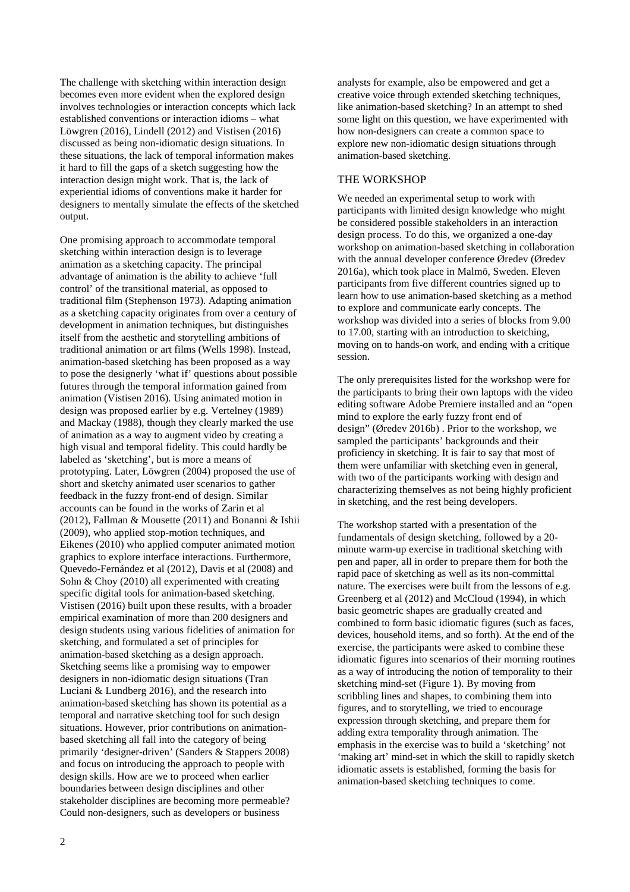The challenge with sketching within interaction design becomes even more evident when the explored design involves technologies or interaction concepts which lack established conventions or interaction idioms – what Löwgren (2016), Lindell (2012) and Vistisen (2016) discussed as being non-idiomatic design situations. In these situations, the lack of temporal information makes it hard to fill the gaps of a sketch suggesting how the interaction design might work. That is, the lack of experiential idioms of conventions make it harder for designers to mentally simulate the effects of the sketched output.

One promising approach to accommodate temporal sketching within interaction design is to leverage animation as a sketching capacity. The principal advantage of animation is the ability to achieve 'full control' of the transitional material, as opposed to traditional film (Stephenson 1973). Adapting animation as a sketching capacity originates from over a century of development in animation techniques, but distinguishes itself from the aesthetic and storytelling ambitions of traditional animation or art films (Wells 1998). Instead, animation-based sketching has been proposed as a way to pose the designerly 'what if' questions about possible futures through the temporal information gained from animation (Vistisen 2016). Using animated motion in design was proposed earlier by e.g. Vertelney (1989) and Mackay (1988), though they clearly marked the use of animation as a way to augment video by creating a high visual and temporal fidelity. This could hardly be labeled as 'sketching', but is more a means of prototyping. Later, Löwgren (2004) proposed the use of short and sketchy animated user scenarios to gather feedback in the fuzzy front-end of design. Similar accounts can be found in the works of Zarin et al (2012), Fallman & Mousette (2011) and Bonanni & Ishii (2009), who applied stop-motion techniques, and Eikenes (2010) who applied computer animated motion graphics to explore interface interactions. Furthermore, Quevedo-Fernández et al (2012), Davis et al (2008) and Sohn & Choy (2010) all experimented with creating specific digital tools for animation-based sketching. Vistisen (2016) built upon these results, with a broader empirical examination of more than 200 designers and design students using various fidelities of animation for sketching, and formulated a set of principles for animation-based sketching as a design approach. Sketching seems like a promising way to empower designers in non-idiomatic design situations (Tran Luciani & Lundberg 2016), and the research into animation-based sketching has shown its potential as a temporal and narrative sketching tool for such design situations. However, prior contributions on animationbased sketching all fall into the category of being primarily 'designer-driven' (Sanders & Stappers 2008) and focus on introducing the approach to people with design skills. How are we to proceed when earlier boundaries between design disciplines and other stakeholder disciplines are becoming more permeable? Could non-designers, such as developers or business

analysts for example, also be empowered and get a creative voice through extended sketching techniques, like animation-based sketching? In an attempt to shed some light on this question, we have experimented with how non-designers can create a common space to explore new non-idiomatic design situations through animation-based sketching.

#### THE WORKSHOP

We needed an experimental setup to work with participants with limited design knowledge who might be considered possible stakeholders in an interaction design process. To do this, we organized a one-day workshop on animation-based sketching in collaboration with the annual developer conference Øredev (Øredev 2016a), which took place in Malmö, Sweden. Eleven participants from five different countries signed up to learn how to use animation-based sketching as a method to explore and communicate early concepts. The workshop was divided into a series of blocks from 9.00 to 17.00, starting with an introduction to sketching, moving on to hands-on work, and ending with a critique session.

The only prerequisites listed for the workshop were for the participants to bring their own laptops with the video editing software Adobe Premiere installed and an "open mind to explore the early fuzzy front end of design" (Øredev 2016b) . Prior to the workshop, we sampled the participants' backgrounds and their proficiency in sketching. It is fair to say that most of them were unfamiliar with sketching even in general, with two of the participants working with design and characterizing themselves as not being highly proficient in sketching, and the rest being developers.

The workshop started with a presentation of the fundamentals of design sketching, followed by a 20 minute warm-up exercise in traditional sketching with pen and paper, all in order to prepare them for both the rapid pace of sketching as well as its non-committal nature. The exercises were built from the lessons of e.g. Greenberg et al (2012) and McCloud (1994), in which basic geometric shapes are gradually created and combined to form basic idiomatic figures (such as faces, devices, household items, and so forth). At the end of the exercise, the participants were asked to combine these idiomatic figures into scenarios of their morning routines as a way of introducing the notion of temporality to their sketching mind-set (Figure 1). By moving from scribbling lines and shapes, to combining them into figures, and to storytelling, we tried to encourage expression through sketching, and prepare them for adding extra temporality through animation. The emphasis in the exercise was to build a 'sketching' not 'making art' mind-set in which the skill to rapidly sketch idiomatic assets is established, forming the basis for animation-based sketching techniques to come.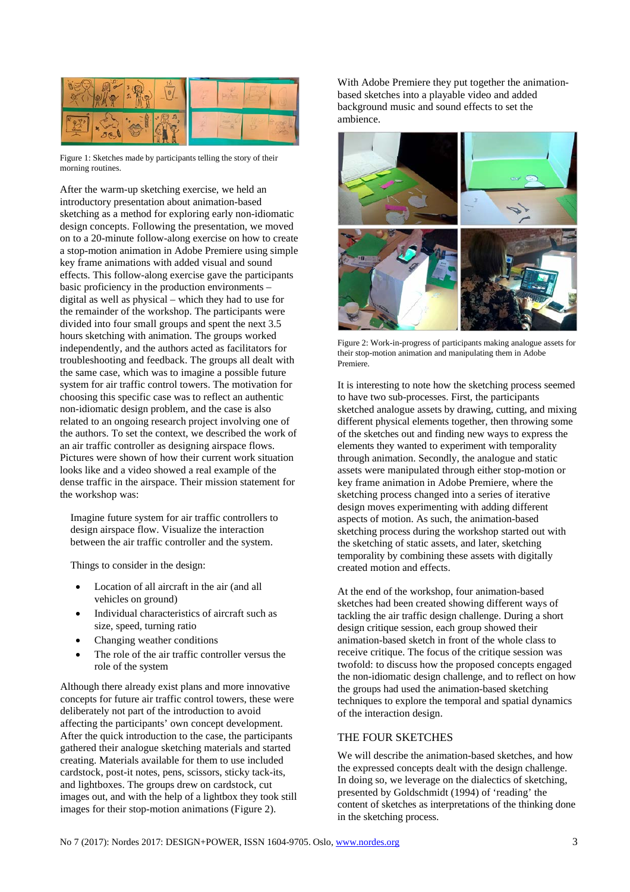

Figure 1: Sketches made by participants telling the story of their morning routines.

After the warm-up sketching exercise, we held an introductory presentation about animation-based sketching as a method for exploring early non-idiomatic design concepts. Following the presentation, we moved on to a 20-minute follow-along exercise on how to create a stop-motion animation in Adobe Premiere using simple key frame animations with added visual and sound effects. This follow-along exercise gave the participants basic proficiency in the production environments – digital as well as physical – which they had to use for the remainder of the workshop. The participants were divided into four small groups and spent the next 3.5 hours sketching with animation. The groups worked independently, and the authors acted as facilitators for troubleshooting and feedback. The groups all dealt with the same case, which was to imagine a possible future system for air traffic control towers. The motivation for choosing this specific case was to reflect an authentic non-idiomatic design problem, and the case is also related to an ongoing research project involving one of the authors. To set the context, we described the work of an air traffic controller as designing airspace flows. Pictures were shown of how their current work situation looks like and a video showed a real example of the dense traffic in the airspace. Their mission statement for the workshop was:

 Imagine future system for air traffic controllers to design airspace flow. Visualize the interaction between the air traffic controller and the system.

Things to consider in the design:

- Location of all aircraft in the air (and all vehicles on ground)
- Individual characteristics of aircraft such as size, speed, turning ratio
- Changing weather conditions
- The role of the air traffic controller versus the role of the system

Although there already exist plans and more innovative concepts for future air traffic control towers, these were deliberately not part of the introduction to avoid affecting the participants' own concept development. After the quick introduction to the case, the participants gathered their analogue sketching materials and started creating. Materials available for them to use included cardstock, post-it notes, pens, scissors, sticky tack-its, and lightboxes. The groups drew on cardstock, cut images out, and with the help of a lightbox they took still images for their stop-motion animations (Figure 2).

With Adobe Premiere they put together the animationbased sketches into a playable video and added background music and sound effects to set the ambience.



Figure 2: Work-in-progress of participants making analogue assets for their stop-motion animation and manipulating them in Adobe Premiere.

It is interesting to note how the sketching process seemed to have two sub-processes. First, the participants sketched analogue assets by drawing, cutting, and mixing different physical elements together, then throwing some of the sketches out and finding new ways to express the elements they wanted to experiment with temporality through animation. Secondly, the analogue and static assets were manipulated through either stop-motion or key frame animation in Adobe Premiere, where the sketching process changed into a series of iterative design moves experimenting with adding different aspects of motion. As such, the animation-based sketching process during the workshop started out with the sketching of static assets, and later, sketching temporality by combining these assets with digitally created motion and effects.

At the end of the workshop, four animation-based sketches had been created showing different ways of tackling the air traffic design challenge. During a short design critique session, each group showed their animation-based sketch in front of the whole class to receive critique. The focus of the critique session was twofold: to discuss how the proposed concepts engaged the non-idiomatic design challenge, and to reflect on how the groups had used the animation-based sketching techniques to explore the temporal and spatial dynamics of the interaction design.

## THE FOUR SKETCHES

We will describe the animation-based sketches, and how the expressed concepts dealt with the design challenge. In doing so, we leverage on the dialectics of sketching, presented by Goldschmidt (1994) of 'reading' the content of sketches as interpretations of the thinking done in the sketching process.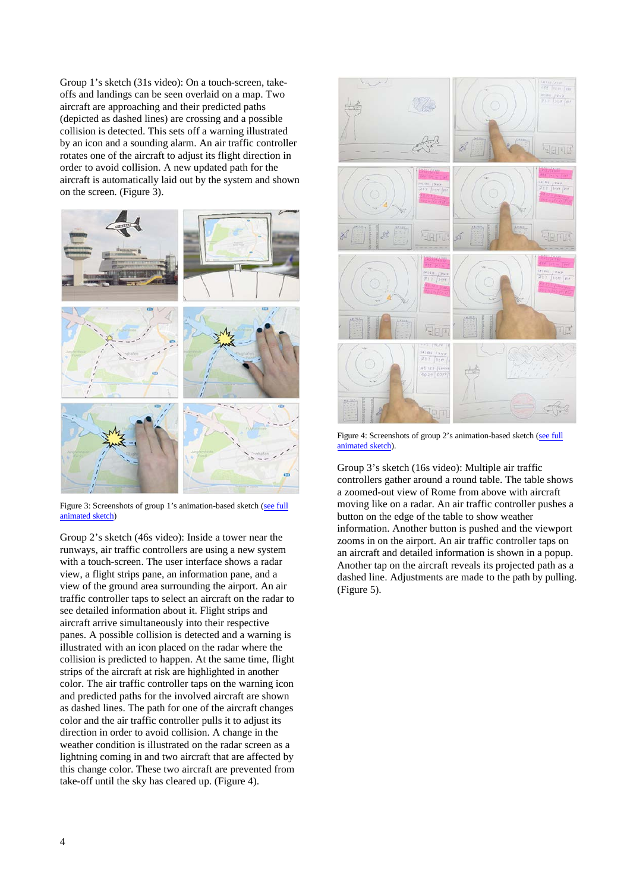Group 1's sketch (31s video): On a touch-screen, takeoffs and landings can be seen overlaid on a map. Two aircraft are approaching and their predicted paths (depicted as dashed lines) are crossing and a possible collision is detected. This sets off a warning illustrated by an icon and a sounding alarm. An air traffic controller rotates one of the aircraft to adjust its flight direction in order to avoid collision. A new updated path for the aircraft is automatically laid out by the system and shown on the screen. (Figure 3).



Figure 3: Screenshots of group 1's animation-based sketch [\(see full](https://youtu.be/qZg6wYehMYg) [animated sketch\)](https://youtu.be/qZg6wYehMYg) 

Group 2's sketch (46s video): Inside a tower near the runways, air traffic controllers are using a new system with a touch-screen. The user interface shows a radar view, a flight strips pane, an information pane, and a view of the ground area surrounding the airport. An air traffic controller taps to select an aircraft on the radar to see detailed information about it. Flight strips and aircraft arrive simultaneously into their respective panes. A possible collision is detected and a warning is illustrated with an icon placed on the radar where the collision is predicted to happen. At the same time, flight strips of the aircraft at risk are highlighted in another color. The air traffic controller taps on the warning icon and predicted paths for the involved aircraft are shown as dashed lines. The path for one of the aircraft changes color and the air traffic controller pulls it to adjust its direction in order to avoid collision. A change in the weather condition is illustrated on the radar screen as a lightning coming in and two aircraft that are affected by this change color. These two aircraft are prevented from take-off until the sky has cleared up. (Figure 4).



Figure 4: Screenshots of group 2's animation-based sketch ([see full](https://youtu.be/TfLiQeCt6fA) [animated sketch\).](https://youtu.be/TfLiQeCt6fA)

Group 3's sketch (16s video): Multiple air traffic controllers gather around a round table. The table shows a zoomed-out view of Rome from above with aircraft moving like on a radar. An air traffic controller pushes a button on the edge of the table to show weather information. Another button is pushed and the viewport zooms in on the airport. An air traffic controller taps on an aircraft and detailed information is shown in a popup. Another tap on the aircraft reveals its projected path as a dashed line. Adjustments are made to the path by pulling. (Figure 5).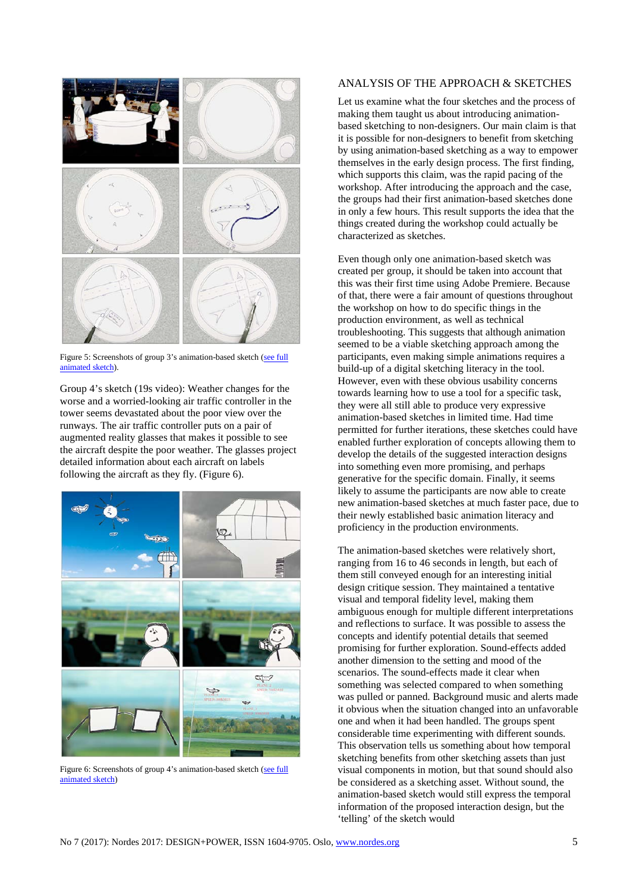

Figure 5: Screenshots of group 3's animation-based sketch [\(see full](https://youtu.be/4IyDkwqKdZc) [animated sketch\).](https://youtu.be/4IyDkwqKdZc)

Group 4's sketch (19s video): Weather changes for the worse and a worried-looking air traffic controller in the tower seems devastated about the poor view over the runways. The air traffic controller puts on a pair of augmented reality glasses that makes it possible to see the aircraft despite the poor weather. The glasses project detailed information about each aircraft on labels following the aircraft as they fly. (Figure 6).



Figure 6: Screenshots of group 4's animation-based sketch (see full [animated sketch\)](https://youtu.be/QLr5Huwcds4)

### ANALYSIS OF THE APPROACH & SKETCHES

Let us examine what the four sketches and the process of making them taught us about introducing animationbased sketching to non-designers. Our main claim is that it is possible for non-designers to benefit from sketching by using animation-based sketching as a way to empower themselves in the early design process. The first finding, which supports this claim, was the rapid pacing of the workshop. After introducing the approach and the case, the groups had their first animation-based sketches done in only a few hours. This result supports the idea that the things created during the workshop could actually be characterized as sketches.

Even though only one animation-based sketch was created per group, it should be taken into account that this was their first time using Adobe Premiere. Because of that, there were a fair amount of questions throughout the workshop on how to do specific things in the production environment, as well as technical troubleshooting. This suggests that although animation seemed to be a viable sketching approach among the participants, even making simple animations requires a build-up of a digital sketching literacy in the tool. However, even with these obvious usability concerns towards learning how to use a tool for a specific task, they were all still able to produce very expressive animation-based sketches in limited time. Had time permitted for further iterations, these sketches could have enabled further exploration of concepts allowing them to develop the details of the suggested interaction designs into something even more promising, and perhaps generative for the specific domain. Finally, it seems likely to assume the participants are now able to create new animation-based sketches at much faster pace, due to their newly established basic animation literacy and proficiency in the production environments.

The animation-based sketches were relatively short, ranging from 16 to 46 seconds in length, but each of them still conveyed enough for an interesting initial design critique session. They maintained a tentative visual and temporal fidelity level, making them ambiguous enough for multiple different interpretations and reflections to surface. It was possible to assess the concepts and identify potential details that seemed promising for further exploration. Sound-effects added another dimension to the setting and mood of the scenarios. The sound-effects made it clear when something was selected compared to when something was pulled or panned. Background music and alerts made it obvious when the situation changed into an unfavorable one and when it had been handled. The groups spent considerable time experimenting with different sounds. This observation tells us something about how temporal sketching benefits from other sketching assets than just visual components in motion, but that sound should also be considered as a sketching asset. Without sound, the animation-based sketch would still express the temporal information of the proposed interaction design, but the 'telling' of the sketch would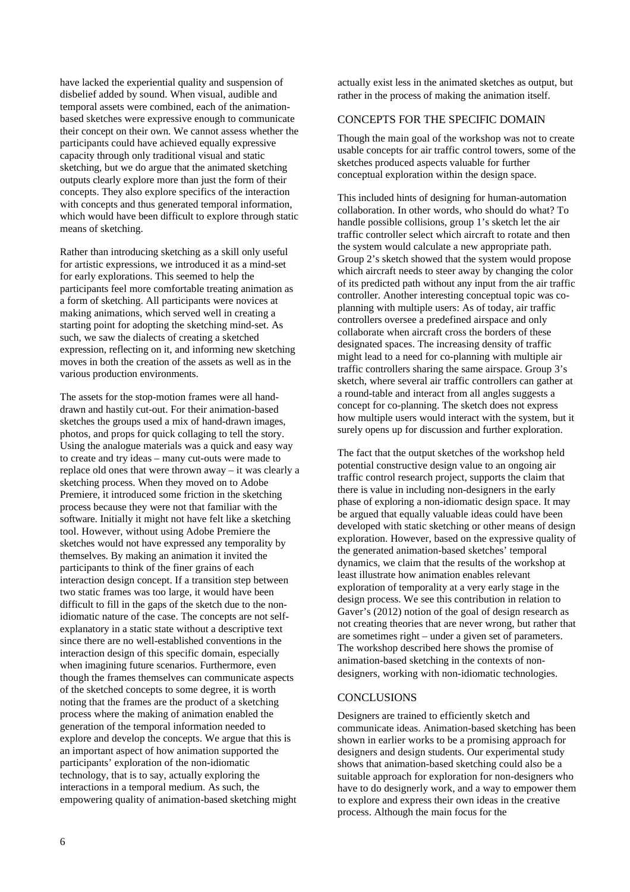have lacked the experiential quality and suspension of disbelief added by sound. When visual, audible and temporal assets were combined, each of the animationbased sketches were expressive enough to communicate their concept on their own. We cannot assess whether the participants could have achieved equally expressive capacity through only traditional visual and static sketching, but we do argue that the animated sketching outputs clearly explore more than just the form of their concepts. They also explore specifics of the interaction with concepts and thus generated temporal information, which would have been difficult to explore through static means of sketching.

Rather than introducing sketching as a skill only useful for artistic expressions, we introduced it as a mind-set for early explorations. This seemed to help the participants feel more comfortable treating animation as a form of sketching. All participants were novices at making animations, which served well in creating a starting point for adopting the sketching mind-set. As such, we saw the dialects of creating a sketched expression, reflecting on it, and informing new sketching moves in both the creation of the assets as well as in the various production environments.

The assets for the stop-motion frames were all handdrawn and hastily cut-out. For their animation-based sketches the groups used a mix of hand-drawn images, photos, and props for quick collaging to tell the story. Using the analogue materials was a quick and easy way to create and try ideas – many cut-outs were made to replace old ones that were thrown away – it was clearly a sketching process. When they moved on to Adobe Premiere, it introduced some friction in the sketching process because they were not that familiar with the software. Initially it might not have felt like a sketching tool. However, without using Adobe Premiere the sketches would not have expressed any temporality by themselves. By making an animation it invited the participants to think of the finer grains of each interaction design concept. If a transition step between two static frames was too large, it would have been difficult to fill in the gaps of the sketch due to the nonidiomatic nature of the case. The concepts are not selfexplanatory in a static state without a descriptive text since there are no well-established conventions in the interaction design of this specific domain, especially when imagining future scenarios. Furthermore, even though the frames themselves can communicate aspects of the sketched concepts to some degree, it is worth noting that the frames are the product of a sketching process where the making of animation enabled the generation of the temporal information needed to explore and develop the concepts. We argue that this is an important aspect of how animation supported the participants' exploration of the non-idiomatic technology, that is to say, actually exploring the interactions in a temporal medium. As such, the empowering quality of animation-based sketching might

actually exist less in the animated sketches as output, but rather in the process of making the animation itself.

#### CONCEPTS FOR THE SPECIFIC DOMAIN

Though the main goal of the workshop was not to create usable concepts for air traffic control towers, some of the sketches produced aspects valuable for further conceptual exploration within the design space.

This included hints of designing for human-automation collaboration. In other words, who should do what? To handle possible collisions, group 1's sketch let the air traffic controller select which aircraft to rotate and then the system would calculate a new appropriate path. Group 2's sketch showed that the system would propose which aircraft needs to steer away by changing the color of its predicted path without any input from the air traffic controller. Another interesting conceptual topic was coplanning with multiple users: As of today, air traffic controllers oversee a predefined airspace and only collaborate when aircraft cross the borders of these designated spaces. The increasing density of traffic might lead to a need for co-planning with multiple air traffic controllers sharing the same airspace. Group 3's sketch, where several air traffic controllers can gather at a round-table and interact from all angles suggests a concept for co-planning. The sketch does not express how multiple users would interact with the system, but it surely opens up for discussion and further exploration.

The fact that the output sketches of the workshop held potential constructive design value to an ongoing air traffic control research project, supports the claim that there is value in including non-designers in the early phase of exploring a non-idiomatic design space. It may be argued that equally valuable ideas could have been developed with static sketching or other means of design exploration. However, based on the expressive quality of the generated animation-based sketches' temporal dynamics, we claim that the results of the workshop at least illustrate how animation enables relevant exploration of temporality at a very early stage in the design process. We see this contribution in relation to Gaver's (2012) notion of the goal of design research as not creating theories that are never wrong, but rather that are sometimes right – under a given set of parameters. The workshop described here shows the promise of animation-based sketching in the contexts of nondesigners, working with non-idiomatic technologies.

#### **CONCLUSIONS**

Designers are trained to efficiently sketch and communicate ideas. Animation-based sketching has been shown in earlier works to be a promising approach for designers and design students. Our experimental study shows that animation-based sketching could also be a suitable approach for exploration for non-designers who have to do designerly work, and a way to empower them to explore and express their own ideas in the creative process. Although the main focus for the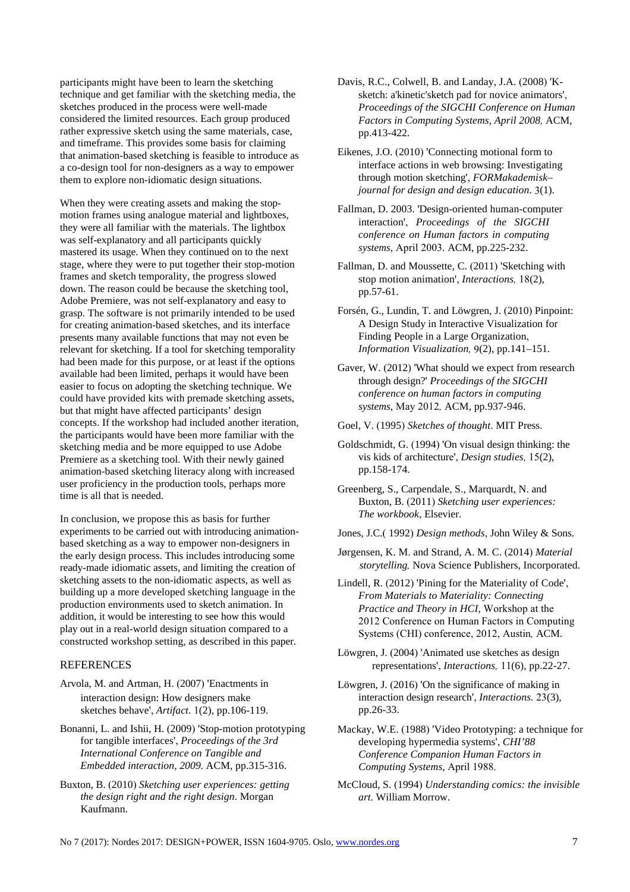participants might have been to learn the sketching technique and get familiar with the sketching media, the sketches produced in the process were well-made considered the limited resources. Each group produced rather expressive sketch using the same materials, case, and timeframe. This provides some basis for claiming that animation-based sketching is feasible to introduce as a co-design tool for non-designers as a way to empower them to explore non-idiomatic design situations.

When they were creating assets and making the stopmotion frames using analogue material and lightboxes, they were all familiar with the materials. The lightbox was self-explanatory and all participants quickly mastered its usage. When they continued on to the next stage, where they were to put together their stop-motion frames and sketch temporality, the progress slowed down. The reason could be because the sketching tool, Adobe Premiere, was not self-explanatory and easy to grasp. The software is not primarily intended to be used for creating animation-based sketches, and its interface presents many available functions that may not even be relevant for sketching. If a tool for sketching temporality had been made for this purpose, or at least if the options available had been limited, perhaps it would have been easier to focus on adopting the sketching technique. We could have provided kits with premade sketching assets, but that might have affected participants' design concepts. If the workshop had included another iteration, the participants would have been more familiar with the sketching media and be more equipped to use Adobe Premiere as a sketching tool. With their newly gained animation-based sketching literacy along with increased user proficiency in the production tools, perhaps more time is all that is needed.

In conclusion, we propose this as basis for further experiments to be carried out with introducing animationbased sketching as a way to empower non-designers in the early design process. This includes introducing some ready-made idiomatic assets, and limiting the creation of sketching assets to the non-idiomatic aspects, as well as building up a more developed sketching language in the production environments used to sketch animation. In addition, it would be interesting to see how this would play out in a real-world design situation compared to a constructed workshop setting, as described in this paper.

#### REFERENCES

- Arvola, M. and Artman, H. (2007) 'Enactments in interaction design: How designers make sketches behave', *Artifact*. 1(2), pp.106-119.
- Bonanni, L. and Ishii, H. (2009) 'Stop-motion prototyping for tangible interfaces', *Proceedings of the 3rd International Conference on Tangible and Embedded interaction, 2009.* ACM, pp.315-316.
- Buxton, B. (2010) *Sketching user experiences: getting the design right and the right design*. Morgan Kaufmann.
- Davis, R.C., Colwell, B. and Landay, J.A. (2008) 'Ksketch: a'kinetic'sketch pad for novice animators', *Proceedings of the SIGCHI Conference on Human Factors in Computing Systems, April 2008,* ACM, pp.413-422.
- Eikenes, J.O. (2010) 'Connecting motional form to interface actions in web browsing: Investigating through motion sketching', *FORMakademisk– journal for design and design education*. 3(1).
- Fallman, D. 2003. 'Design-oriented human-computer interaction', *Proceedings of the SIGCHI conference on Human factors in computing systems,* April 2003*.* ACM, pp.225-232.
- Fallman, D. and Moussette, C. (2011) 'Sketching with stop motion animation', *Interactions,* 18(2), pp.57-61.
- Forsén, G., Lundin, T. and Löwgren, J. (2010) Pinpoint: A Design Study in Interactive Visualization for Finding People in a Large Organization, *Information Visualization,* 9(2), pp.141–151.
- Gaver, W. (2012) 'What should we expect from research through design?' *Proceedings of the SIGCHI conference on human factors in computing systems,* May 2012*,* ACM, pp.937-946.

Goel, V. (1995) *Sketches of thought*. MIT Press.

- Goldschmidt, G. (1994) 'On visual design thinking: the vis kids of architecture', *Design studies,* 15(2), pp.158-174.
- Greenberg, S., Carpendale, S., Marquardt, N. and Buxton, B. (2011) *Sketching user experiences: The workbook*, Elsevier.
- Jones, J.C.( 1992) *Design methods*, John Wiley & Sons.
- Jørgensen, K. M. and Strand, A. M. C. (2014) *Material storytelling,* Nova Science Publishers, Incorporated.
- Lindell, R. (2012) 'Pining for the Materiality of Code', *From Materials to Materiality: Connecting Practice and Theory in HCI,* Workshop at the 2012 Conference on Human Factors in Computing Systems (CHI) conference, 2012, Austin*,* ACM.
- Löwgren, J. (2004) 'Animated use sketches as design representations', *Interactions,* 11(6), pp.22-27.
- Löwgren, J. (2016) 'On the significance of making in interaction design research', *Interactions.* 23(3), pp.26-33.
- Mackay, W.E. (1988) 'Video Prototyping: a technique for developing hypermedia systems', *CHI'88 Conference Companion Human Factors in Computing Systems,* April 1988.
- McCloud, S. (1994) *Understanding comics: the invisible art*. William Morrow.